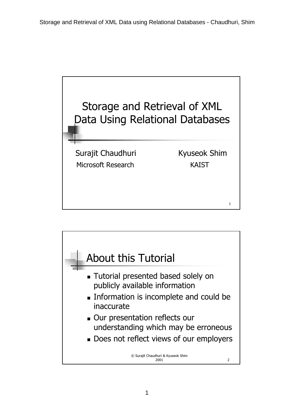

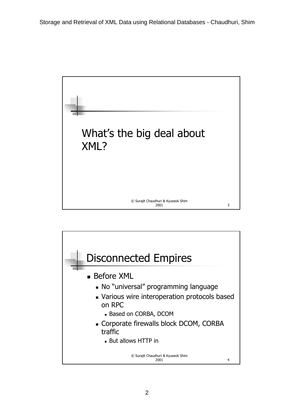

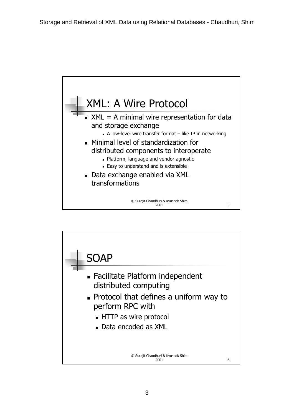

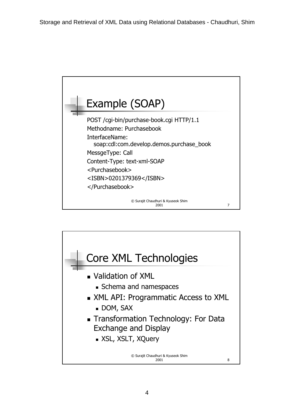

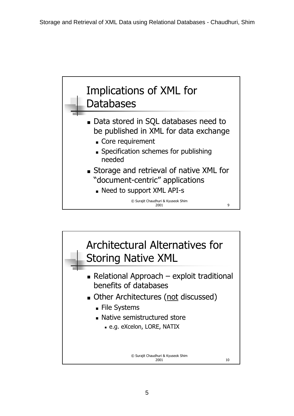

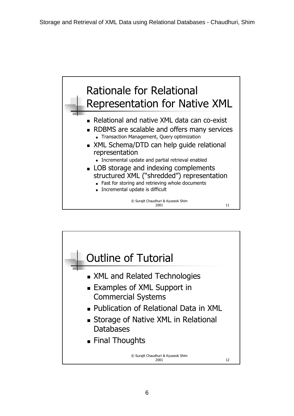

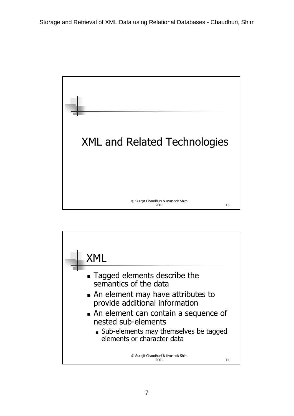

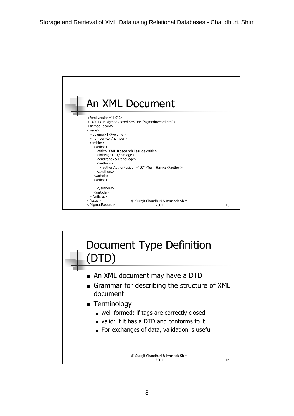

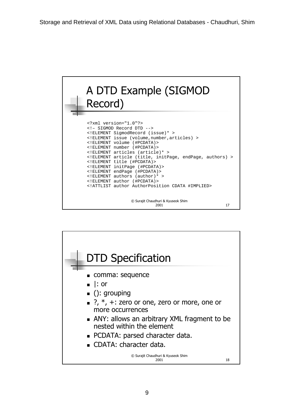

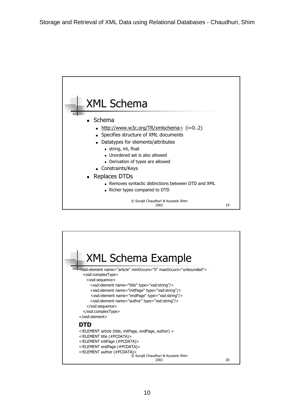

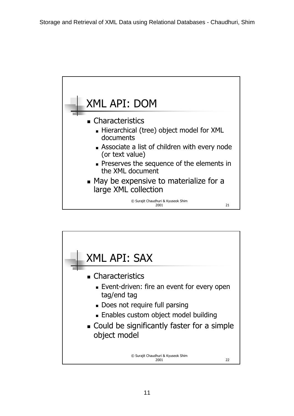

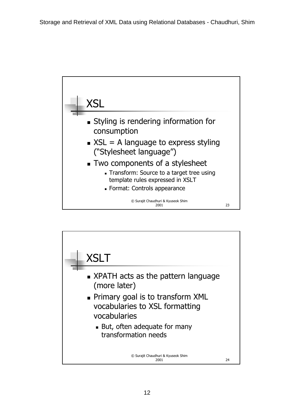

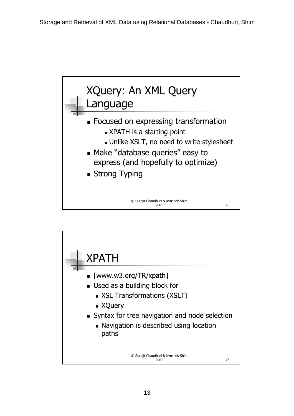

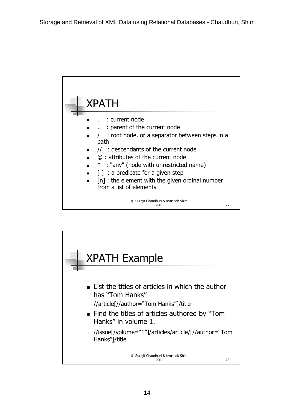

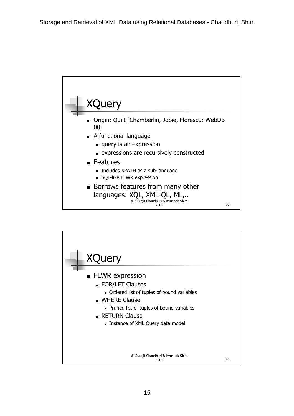

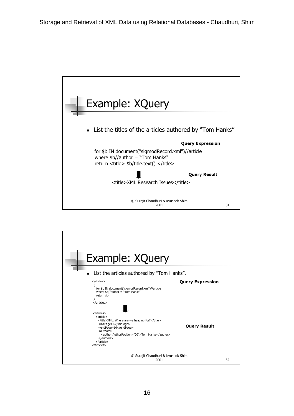

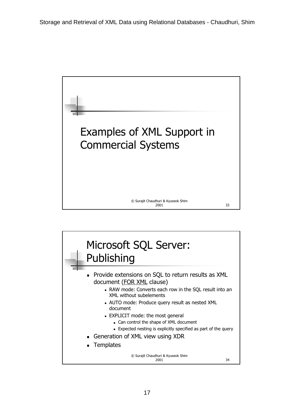

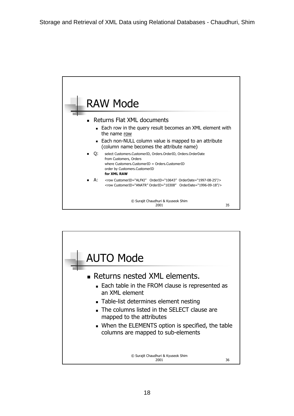

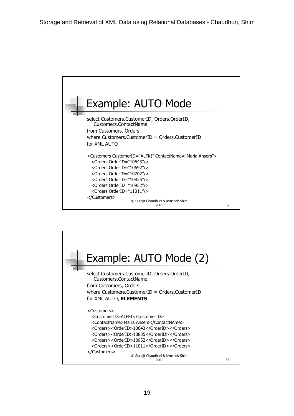

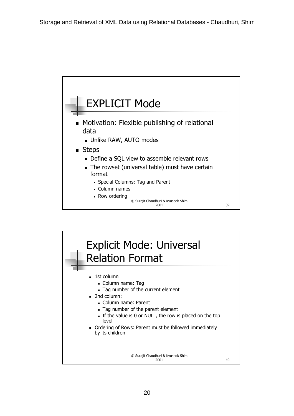

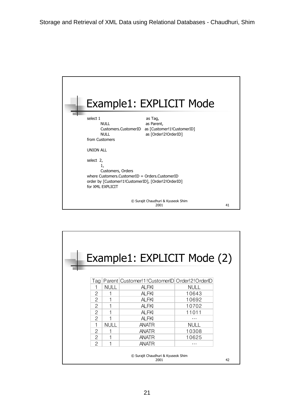| Example1: EXPLICIT Mode                                                                                                                                                                |    |
|----------------------------------------------------------------------------------------------------------------------------------------------------------------------------------------|----|
| select 1<br>as Tag,<br>NULL<br>as Parent,<br>Customers.CustomerID as [Customer!1!CustomerID]<br>as [Order!2!OrderID]<br>NULL<br>from Customers                                         |    |
| <b>UNION ALL</b><br>select 2,<br>1,<br>Customers, Orders<br>where Customers CustomerID = Orders CustomerID<br>order by [Customer!1!CustomerID], [Order!2!OrderID]<br>for XMI FXPI ICIT |    |
| © Surajit Chaudhuri & Kyuseok Shim<br>2001                                                                                                                                             | 41 |

| Example1: EXPLICIT Mode (2) |                                                  |             |                                                              |             |  |  |  |
|-----------------------------|--------------------------------------------------|-------------|--------------------------------------------------------------|-------------|--|--|--|
|                             |                                                  |             | Tag   Parent   Customer! 1 ! CustomerID   Order! 2 ! OrderID |             |  |  |  |
|                             |                                                  | <b>NULL</b> | <b>ALFKI</b>                                                 | <b>NULL</b> |  |  |  |
|                             | 2                                                |             | <b>ALFKI</b>                                                 | 10643       |  |  |  |
|                             | 2                                                |             | <b>ALFKI</b>                                                 | 10692       |  |  |  |
|                             | 2                                                |             | <b>ALFKI</b>                                                 | 10702       |  |  |  |
|                             | 2                                                |             | AI FKI                                                       | 11011       |  |  |  |
|                             | 2                                                | 1           | <b>ALFKI</b>                                                 |             |  |  |  |
|                             | 1                                                | <b>NULL</b> | <b>ANATR</b>                                                 | <b>NULL</b> |  |  |  |
|                             | 2                                                |             | <b>ANATR</b>                                                 | 10308       |  |  |  |
|                             | 2                                                |             | <b>ANATR</b>                                                 | 10625       |  |  |  |
|                             | $\overline{2}$                                   | 1           | <b>ANATR</b>                                                 | $\cdots$    |  |  |  |
|                             | © Surajit Chaudhuri & Kyuseok Shim<br>2001<br>42 |             |                                                              |             |  |  |  |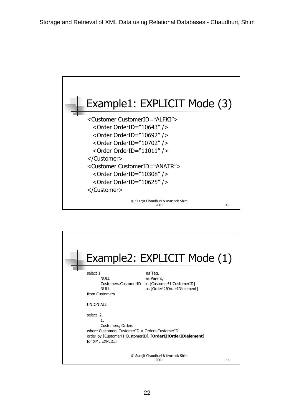

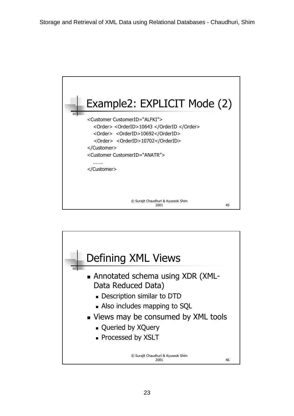

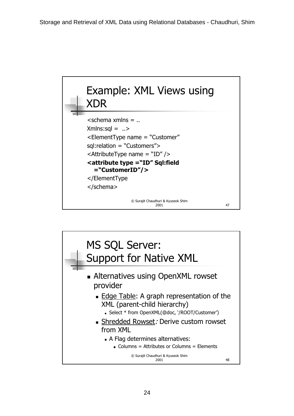

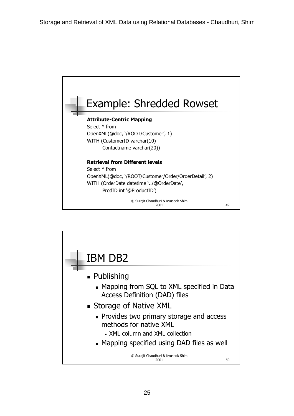

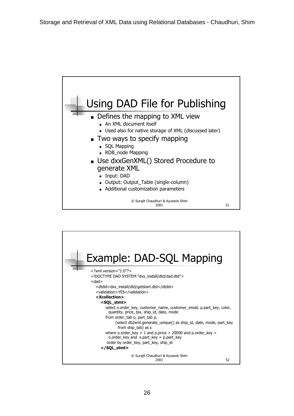

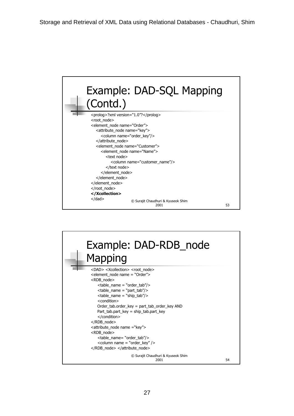

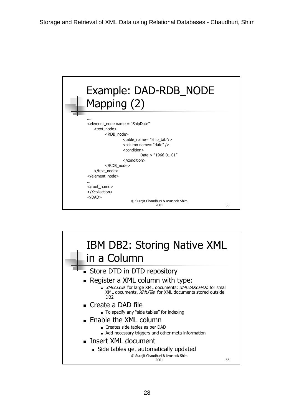

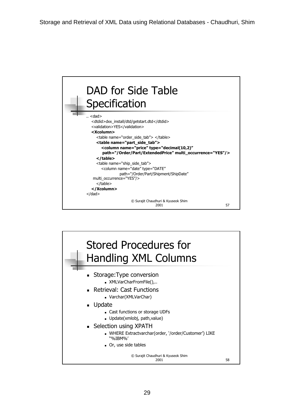

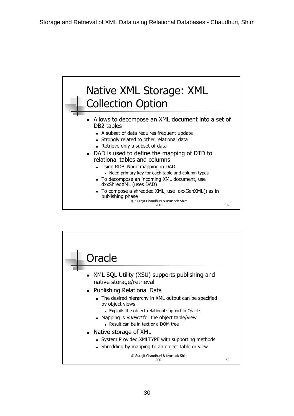

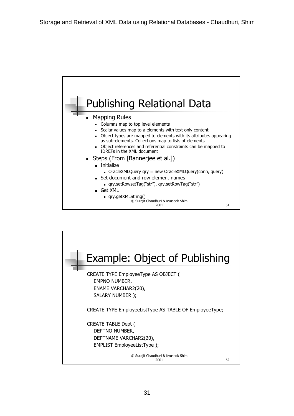

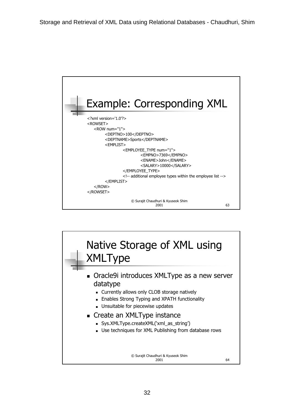

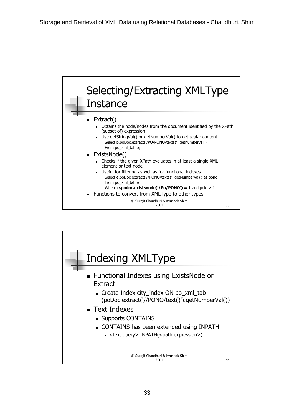![](_page_32_Figure_0.jpeg)

![](_page_32_Figure_1.jpeg)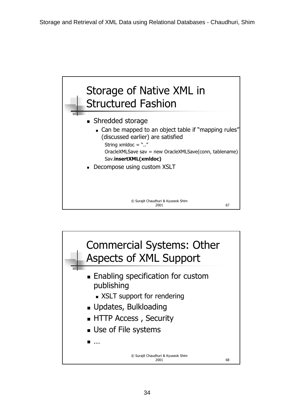![](_page_33_Figure_0.jpeg)

![](_page_33_Figure_1.jpeg)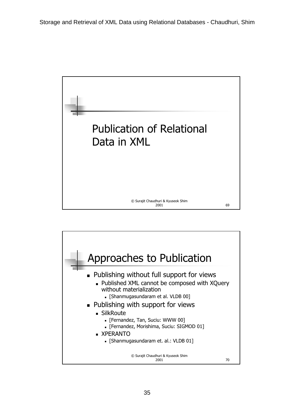![](_page_34_Picture_0.jpeg)

![](_page_34_Figure_1.jpeg)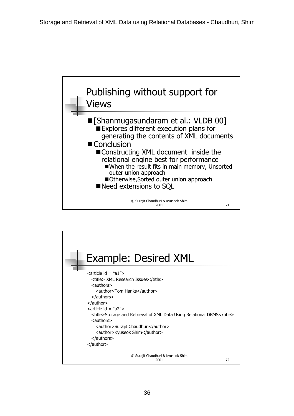![](_page_35_Figure_0.jpeg)

![](_page_35_Figure_1.jpeg)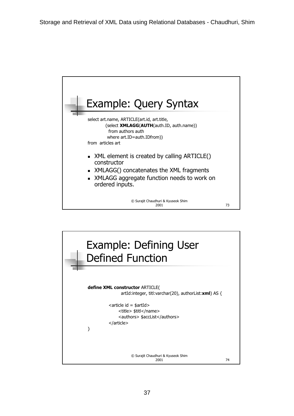![](_page_36_Figure_0.jpeg)

![](_page_36_Figure_1.jpeg)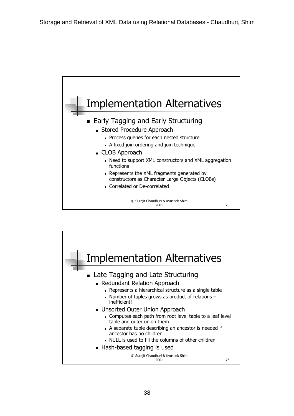![](_page_37_Figure_0.jpeg)

![](_page_37_Figure_1.jpeg)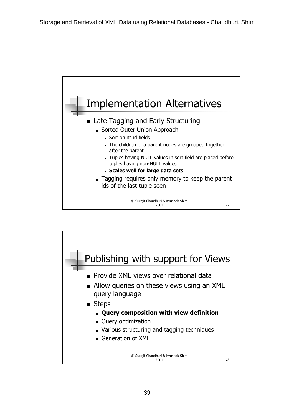![](_page_38_Figure_0.jpeg)

![](_page_38_Figure_1.jpeg)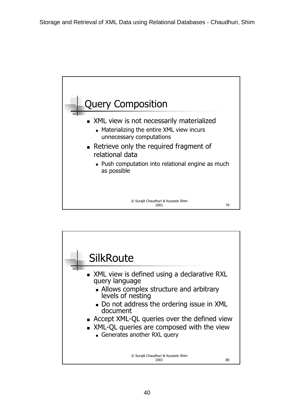![](_page_39_Figure_0.jpeg)

![](_page_39_Figure_1.jpeg)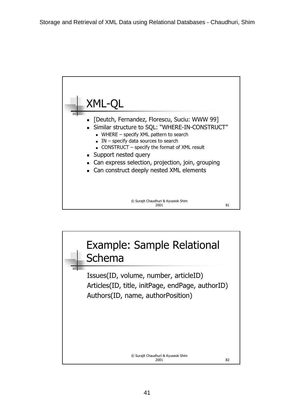![](_page_40_Figure_0.jpeg)

![](_page_40_Figure_1.jpeg)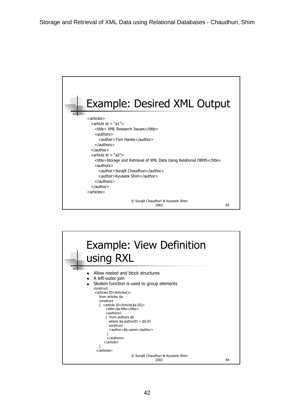![](_page_41_Figure_0.jpeg)

![](_page_41_Figure_1.jpeg)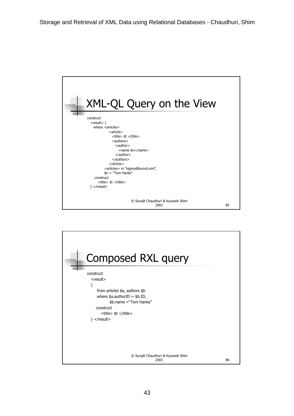![](_page_42_Figure_0.jpeg)

![](_page_42_Figure_1.jpeg)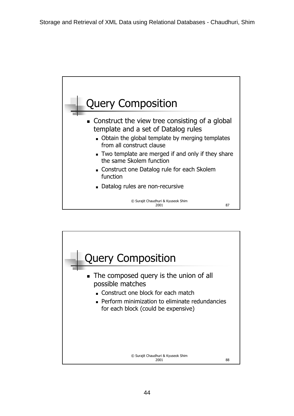![](_page_43_Figure_0.jpeg)

![](_page_43_Figure_1.jpeg)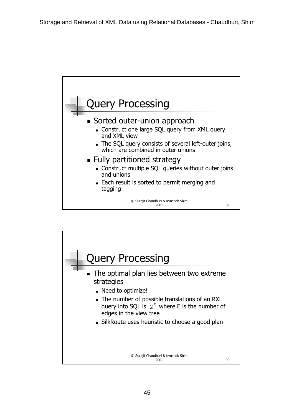![](_page_44_Figure_0.jpeg)

![](_page_44_Figure_1.jpeg)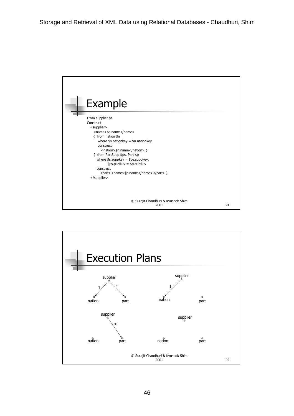![](_page_45_Figure_0.jpeg)

![](_page_45_Figure_1.jpeg)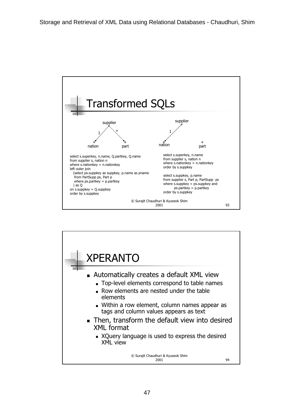![](_page_46_Figure_0.jpeg)

![](_page_46_Figure_1.jpeg)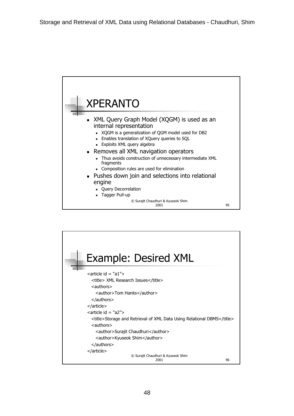![](_page_47_Figure_0.jpeg)

![](_page_47_Figure_1.jpeg)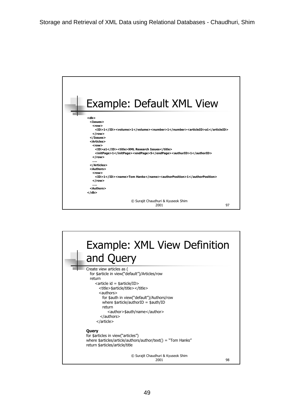![](_page_48_Figure_0.jpeg)

![](_page_48_Figure_1.jpeg)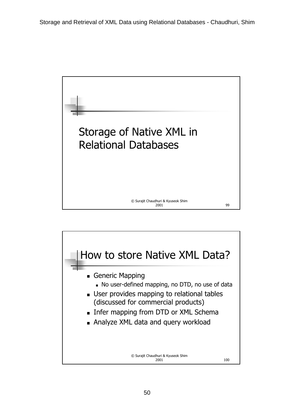![](_page_49_Picture_0.jpeg)

![](_page_49_Figure_1.jpeg)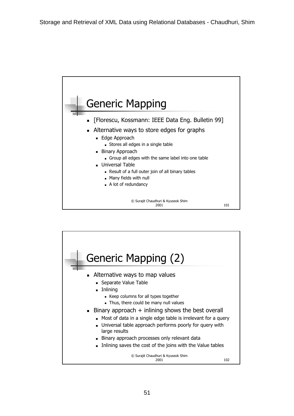![](_page_50_Figure_0.jpeg)

![](_page_50_Figure_1.jpeg)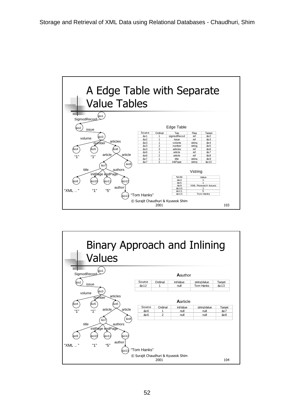![](_page_51_Figure_0.jpeg)

![](_page_51_Figure_1.jpeg)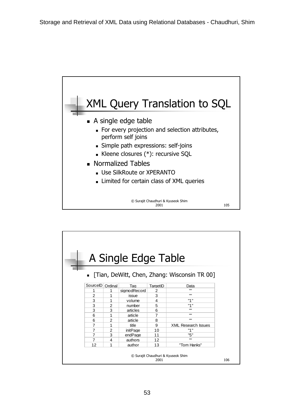![](_page_52_Figure_0.jpeg)

![](_page_52_Figure_1.jpeg)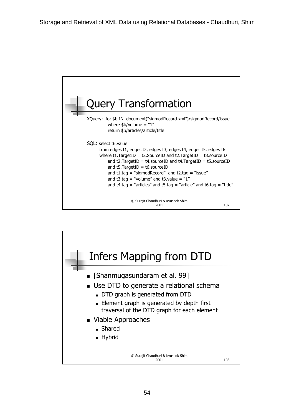![](_page_53_Figure_0.jpeg)

![](_page_53_Figure_1.jpeg)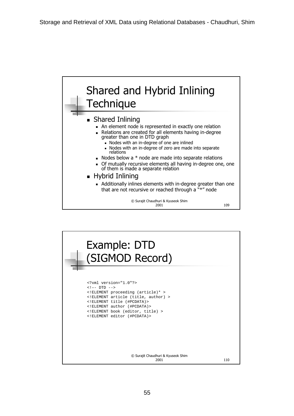![](_page_54_Figure_0.jpeg)

![](_page_54_Picture_1.jpeg)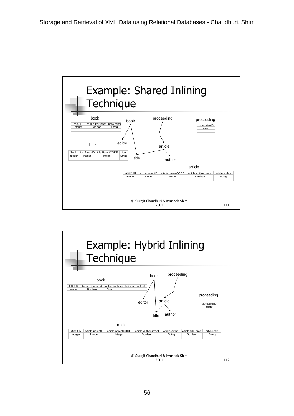![](_page_55_Figure_0.jpeg)

![](_page_55_Figure_1.jpeg)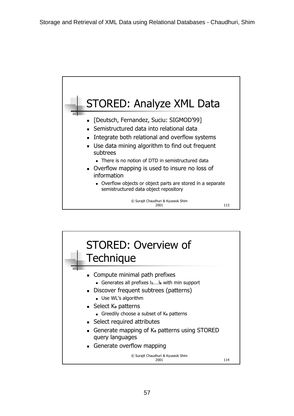![](_page_56_Figure_0.jpeg)

![](_page_56_Figure_1.jpeg)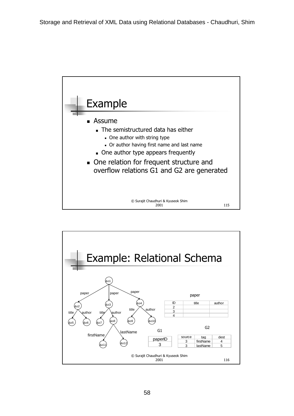![](_page_57_Figure_0.jpeg)

![](_page_57_Figure_1.jpeg)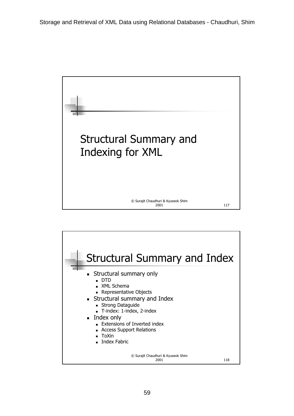## Structural Summary and Indexing for XML

## © Surajit Chaudhuri & Kyuseok Shim 2001 117

© Surajit Chaudhuri & Kyuseok Shim 2001 118 Structural Summary and Index **Structural summary only**  DTD XML Schema **Representative Objects**  Structural summary and Index Strong Dataguide T-index: 1-index, 2-index ■ Index only Extensions of Inverted index **Access Support Relations**  ToXin **Index Fabric**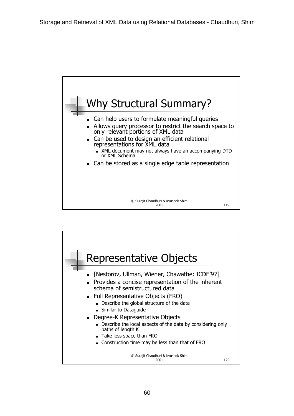![](_page_59_Figure_0.jpeg)

![](_page_59_Figure_1.jpeg)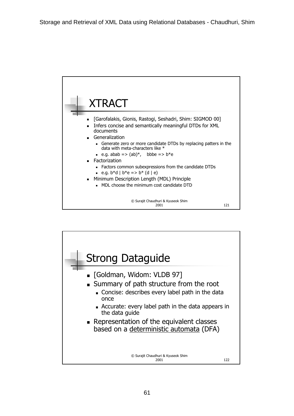![](_page_60_Figure_0.jpeg)

![](_page_60_Figure_1.jpeg)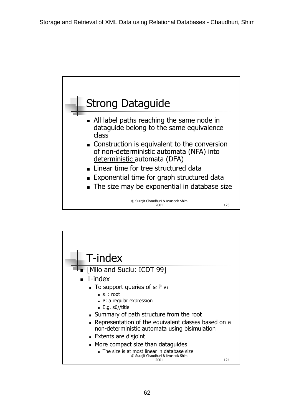![](_page_61_Figure_0.jpeg)

![](_page_61_Figure_1.jpeg)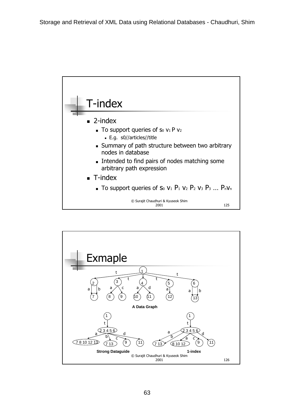![](_page_62_Figure_0.jpeg)

![](_page_62_Figure_1.jpeg)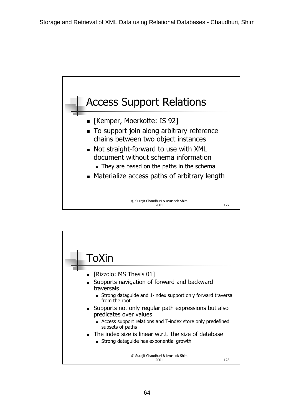![](_page_63_Figure_0.jpeg)

![](_page_63_Figure_1.jpeg)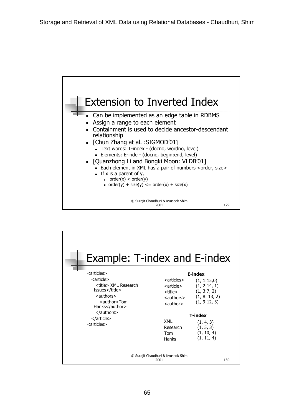![](_page_64_Figure_0.jpeg)

| <b>Example: T-index and E-index</b>                                                                                                                                                                            |                                                                                                                                                    |                                                                                                                                                                |  |  |
|----------------------------------------------------------------------------------------------------------------------------------------------------------------------------------------------------------------|----------------------------------------------------------------------------------------------------------------------------------------------------|----------------------------------------------------------------------------------------------------------------------------------------------------------------|--|--|
| <articles><br/><article><br/><title> XML Research<br/>Issues</title><br/><math>\leq</math>authors<math>&gt;</math><br/><author>Tom<br/>Hanks</author><br/><br/></article><br/><articles></articles></articles> | $\langle$ articles<br><article><br/><title><br/><authors><br/><author><br/>XML<br/>Research<br/>Tom<br/>Hanks</author></authors></title></article> | E-index<br>(1, 1:15,0)<br>(1, 2:14, 1)<br>(1, 3:7, 2)<br>(1, 8: 13, 2)<br>(1, 9:12, 3)<br><b>T-index</b><br>(1, 4, 3)<br>(1, 5, 3)<br>(1, 10, 4)<br>(1, 11, 4) |  |  |
| © Surajit Chaudhuri & Kyuseok Shim<br>2001<br>130                                                                                                                                                              |                                                                                                                                                    |                                                                                                                                                                |  |  |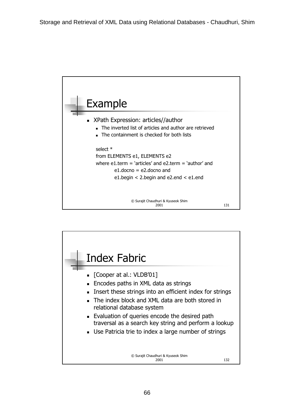![](_page_65_Figure_0.jpeg)

![](_page_65_Figure_1.jpeg)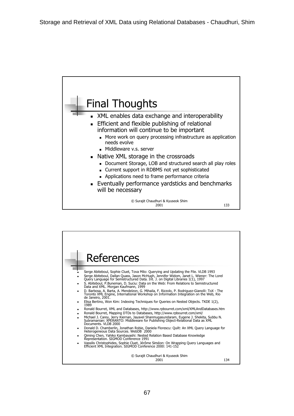![](_page_66_Figure_0.jpeg)

![](_page_66_Figure_1.jpeg)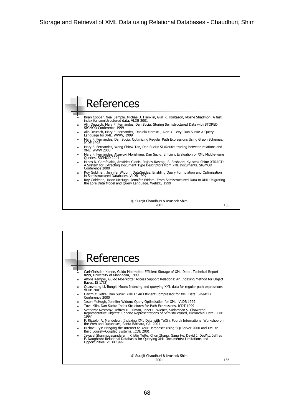![](_page_67_Figure_0.jpeg)

![](_page_67_Figure_1.jpeg)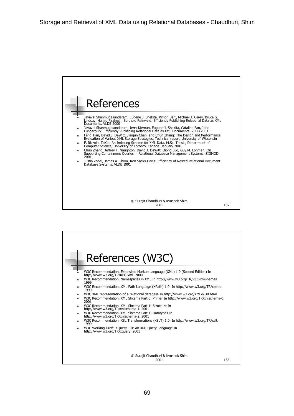![](_page_68_Figure_0.jpeg)

![](_page_68_Figure_1.jpeg)